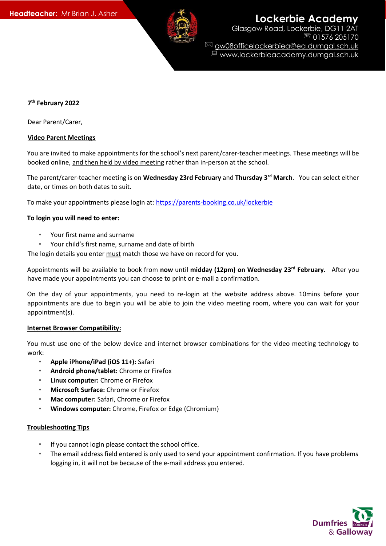

**Headteacher:** Mr Brian J. Asher **Lockerbie Academy** Glasgow Road, Lockerbie, DG11 2AT

> 01576 205170 gw08officelockerbiea@ea.dumgal.sch.uk ■ www.lockerbieacademy.dumgal.sch.uk

# **7 th February 2022**

Dear Parent/Carer,

## **Video Parent Meetings**

You are invited to make appointments for the school's next parent/carer-teacher meetings. These meetings will be booked online, and then held by video meeting rather than in-person at the school.

The parent/carer-teacher meeting is on **Wednesday 23rd February** and **Thursday 3rd March**. You can select either date, or times on both dates to suit.

To make your appointments please login at[: https://parents-booking.co.uk/lockerbie](https://parents-booking.co.uk/lockerbie)

## **To login you will need to enter:**

- Your first name and surname
- Your child's first name, surname and date of birth

The login details you enter must match those we have on record for you.

Appointments will be available to book from **now** until **midday (12pm) on Wednesday 23 rd February.** After you have made your appointments you can choose to print or e-mail a confirmation.

On the day of your appointments, you need to re-login at the website address above. 10mins before your appointments are due to begin you will be able to join the video meeting room, where you can wait for your appointment(s).

### **Internet Browser Compatibility:**

You must use one of the below device and internet browser combinations for the video meeting technology to work:

- **Apple iPhone/iPad (iOS 11+):** Safari
- **Android phone/tablet:** Chrome or Firefox
- **Linux computer:** Chrome or Firefox
- **Microsoft Surface:** Chrome or Firefox
- **Mac computer:** Safari, Chrome or Firefox
- **Windows computer:** Chrome, Firefox or Edge (Chromium)

### **Troubleshooting Tips**

- If you cannot login please contact the school office.
- The email address field entered is only used to send your appointment confirmation. If you have problems logging in, it will not be because of the e-mail address you entered.